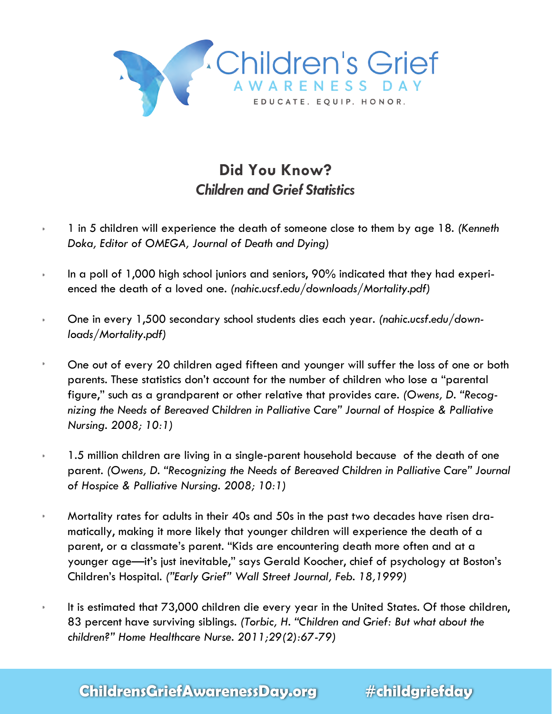

# **Did You Know?** *Children and Grief Statistics*

- 1 in 5 children will experience the death of someone close to them by age 18. *(Kenneth*   $\begin{array}{c} \bullet \end{array}$ *Doka, Editor of OMEGA, Journal of Death and Dying)*
- In a poll of 1,000 high school juniors and seniors, 90% indicated that they had experi- $\mathbf{b}$ enced the death of a loved one. *(nahic.ucsf.edu/downloads/Mortality.pdf)*
- One in every 1,500 secondary school students dies each year. *(nahic.ucsf.edu/down-* $\hat{\mathbf{r}}$ *loads/Mortality.pdf)*
- One out of every 20 children aged fifteen and younger will suffer the loss of one or both parents. These statistics don't account for the number of children who lose a "parental figure," such as a grandparent or other relative that provides care. *(Owens, D. "Recognizing the Needs of Bereaved Children in Palliative Care" Journal of Hospice & Palliative Nursing. 2008; 10:1)*
- ò. 1.5 million children are living in a single-parent household because of the death of one parent. *(Owens, D. "Recognizing the Needs of Bereaved Children in Palliative Care" Journal of Hospice & Palliative Nursing. 2008; 10:1)*
- Mortality rates for adults in their 40s and 50s in the past two decades have risen dramatically, making it more likely that younger children will experience the death of a parent, or a classmate's parent. "Kids are encountering death more often and at a younger age—it's just inevitable," says Gerald Koocher, chief of psychology at Boston's Children's Hospital. *("Early Grief" Wall Street Journal, Feb. 18,1999)*
- It is estimated that 73,000 children die every year in the United States. Of those children, 83 percent have surviving siblings. *(Torbic, H. "Children and Grief: But what about the children?" Home Healthcare Nurse. 2011;29(2):67-79)*

# **ChildrensGriefAwarenessDay.org #childgriefday**